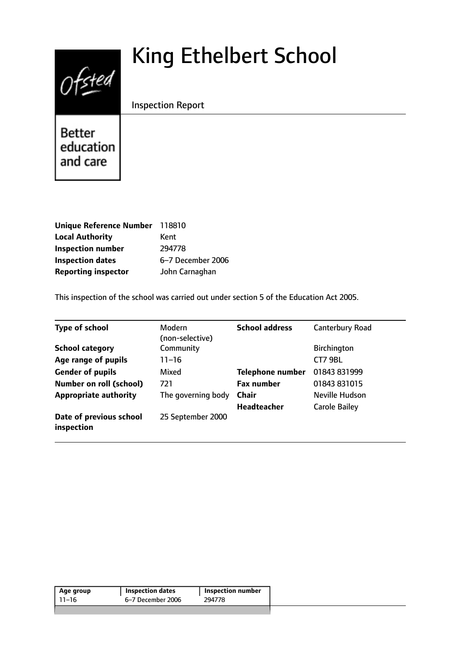# King Ethelbert School

Inspection Report

Better education and care

 $Of$ 

| <b>Unique Reference Number</b> | 118810            |
|--------------------------------|-------------------|
| <b>Local Authority</b>         | Kent              |
| <b>Inspection number</b>       | 294778            |
| <b>Inspection dates</b>        | 6-7 December 2006 |
| <b>Reporting inspector</b>     | John Carnaghan    |

This inspection of the school was carried out under section 5 of the Education Act 2005.

| <b>Type of school</b>                 | Modern<br>(non-selective) | <b>School address</b>   | <b>Canterbury Road</b> |
|---------------------------------------|---------------------------|-------------------------|------------------------|
| <b>School category</b>                | Community                 |                         | Birchington            |
| Age range of pupils                   | $11 - 16$                 |                         | CT7 9BL                |
| <b>Gender of pupils</b>               | Mixed                     | <b>Telephone number</b> | 01843 831999           |
| <b>Number on roll (school)</b>        | 721                       | <b>Fax number</b>       | 01843 831015           |
| <b>Appropriate authority</b>          | The governing body        | Chair                   | Neville Hudson         |
|                                       |                           | <b>Headteacher</b>      | <b>Carole Bailey</b>   |
| Date of previous school<br>inspection | 25 September 2000         |                         |                        |

| 6–7 December 2006<br>294778<br>11–16 | Age group | <b>Inspection dates</b> | Inspection number |  |
|--------------------------------------|-----------|-------------------------|-------------------|--|
|                                      |           |                         |                   |  |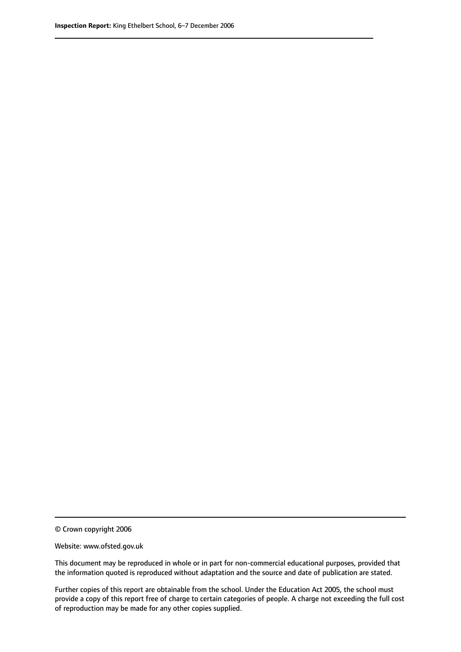© Crown copyright 2006

Website: www.ofsted.gov.uk

This document may be reproduced in whole or in part for non-commercial educational purposes, provided that the information quoted is reproduced without adaptation and the source and date of publication are stated.

Further copies of this report are obtainable from the school. Under the Education Act 2005, the school must provide a copy of this report free of charge to certain categories of people. A charge not exceeding the full cost of reproduction may be made for any other copies supplied.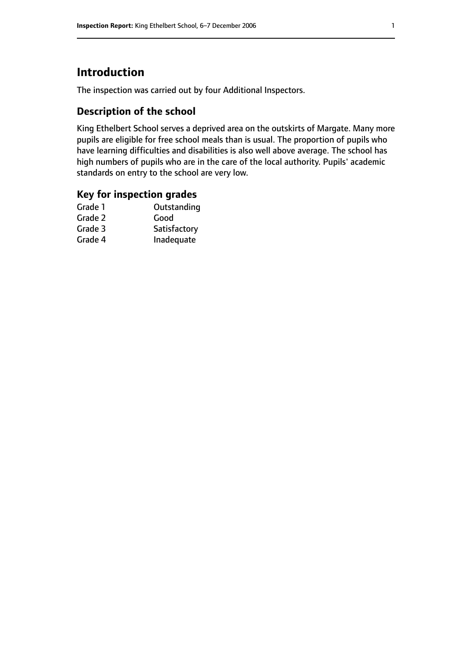# **Introduction**

The inspection was carried out by four Additional Inspectors.

## **Description of the school**

King Ethelbert School serves a deprived area on the outskirts of Margate. Many more pupils are eligible for free school meals than is usual. The proportion of pupils who have learning difficulties and disabilities is also well above average. The school has high numbers of pupils who are in the care of the local authority. Pupils' academic standards on entry to the school are very low.

## **Key for inspection grades**

| Good         |
|--------------|
|              |
| Satisfactory |
| Inadequate   |
|              |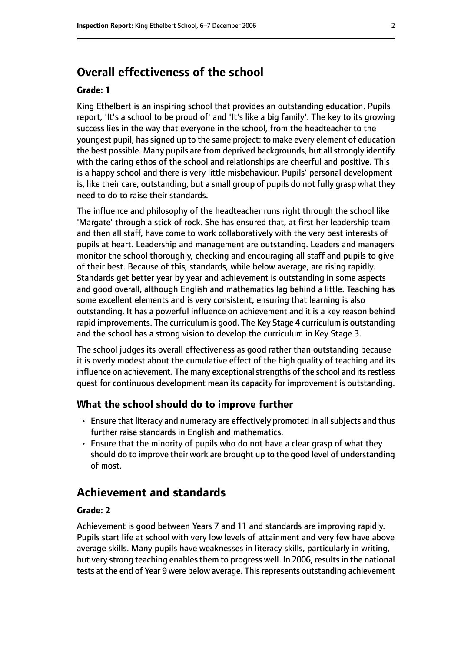# **Overall effectiveness of the school**

#### **Grade: 1**

King Ethelbert is an inspiring school that provides an outstanding education. Pupils report, 'It's a school to be proud of' and 'It's like a big family'. The key to its growing success lies in the way that everyone in the school, from the headteacher to the youngest pupil, hassigned up to the same project: to make every element of education the best possible. Many pupils are from deprived backgrounds, but all strongly identify with the caring ethos of the school and relationships are cheerful and positive. This is a happy school and there is very little misbehaviour. Pupils' personal development is, like their care, outstanding, but a small group of pupils do not fully grasp what they need to do to raise their standards.

The influence and philosophy of the headteacher runs right through the school like 'Margate' through a stick of rock. She has ensured that, at first her leadership team and then all staff, have come to work collaboratively with the very best interests of pupils at heart. Leadership and management are outstanding. Leaders and managers monitor the school thoroughly, checking and encouraging all staff and pupils to give of their best. Because of this, standards, while below average, are rising rapidly. Standards get better year by year and achievement is outstanding in some aspects and good overall, although English and mathematics lag behind a little. Teaching has some excellent elements and is very consistent, ensuring that learning is also outstanding. It has a powerful influence on achievement and it is a key reason behind rapid improvements. The curriculum is good. The Key Stage 4 curriculum is outstanding and the school has a strong vision to develop the curriculum in Key Stage 3.

The school judges its overall effectiveness as good rather than outstanding because it is overly modest about the cumulative effect of the high quality of teaching and its influence on achievement. The many exceptional strengths of the school and its restless quest for continuous development mean its capacity for improvement is outstanding.

#### **What the school should do to improve further**

- Ensure that literacy and numeracy are effectively promoted in all subjects and thus further raise standards in English and mathematics.
- Ensure that the minority of pupils who do not have a clear grasp of what they should do to improve their work are brought up to the good level of understanding of most.

## **Achievement and standards**

#### **Grade: 2**

Achievement is good between Years 7 and 11 and standards are improving rapidly. Pupils start life at school with very low levels of attainment and very few have above average skills. Many pupils have weaknesses in literacy skills, particularly in writing, but very strong teaching enables them to progress well. In 2006, results in the national tests at the end of Year 9 were below average. Thisrepresents outstanding achievement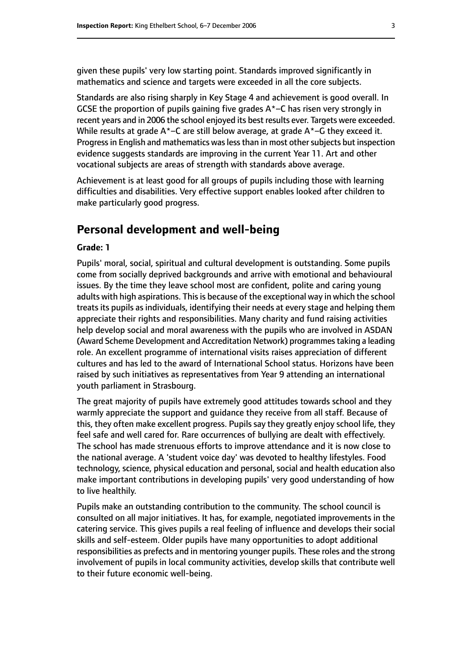given these pupils' very low starting point. Standards improved significantly in mathematics and science and targets were exceeded in all the core subjects.

Standards are also rising sharply in Key Stage 4 and achievement is good overall. In GCSE the proportion of pupils gaining five grades  $A^*$ –C has risen very strongly in recent years and in 2006 the school enjoyed its best results ever. Targets were exceeded. While results at grade  $A^*$ –C are still below average, at grade  $A^*$ –G they exceed it. Progress in English and mathematics was less than in most other subjects but inspection evidence suggests standards are improving in the current Year 11. Art and other vocational subjects are areas of strength with standards above average.

Achievement is at least good for all groups of pupils including those with learning difficulties and disabilities. Very effective support enables looked after children to make particularly good progress.

## **Personal development and well-being**

#### **Grade: 1**

Pupils' moral, social, spiritual and cultural development is outstanding. Some pupils come from socially deprived backgrounds and arrive with emotional and behavioural issues. By the time they leave school most are confident, polite and caring young adults with high aspirations. This is because of the exceptional way in which the school treats its pupils as individuals, identifying their needs at every stage and helping them appreciate their rights and responsibilities. Many charity and fund raising activities help develop social and moral awareness with the pupils who are involved in ASDAN (Award Scheme Development and Accreditation Network) programmes taking a leading role. An excellent programme of international visits raises appreciation of different cultures and has led to the award of International School status. Horizons have been raised by such initiatives as representatives from Year 9 attending an international youth parliament in Strasbourg.

The great majority of pupils have extremely good attitudes towards school and they warmly appreciate the support and guidance they receive from all staff. Because of this, they often make excellent progress. Pupils say they greatly enjoy school life, they feel safe and well cared for. Rare occurrences of bullying are dealt with effectively. The school has made strenuous efforts to improve attendance and it is now close to the national average. A 'student voice day' was devoted to healthy lifestyles. Food technology, science, physical education and personal, social and health education also make important contributions in developing pupils' very good understanding of how to live healthily.

Pupils make an outstanding contribution to the community. The school council is consulted on all major initiatives. It has, for example, negotiated improvements in the catering service. This gives pupils a real feeling of influence and develops their social skills and self-esteem. Older pupils have many opportunities to adopt additional responsibilities as prefects and in mentoring younger pupils. These roles and the strong involvement of pupils in local community activities, develop skills that contribute well to their future economic well-being.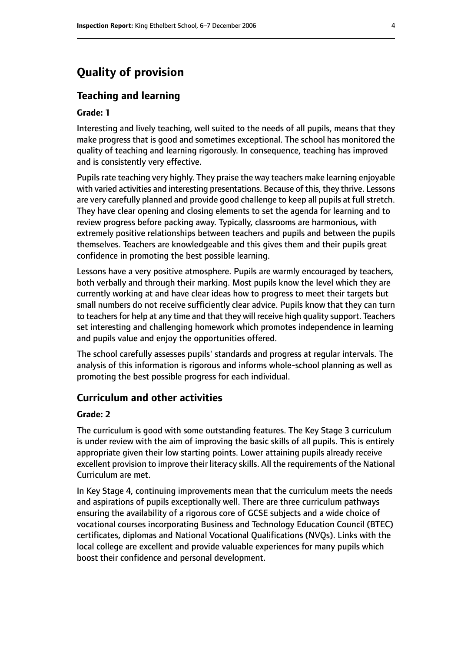# **Quality of provision**

### **Teaching and learning**

#### **Grade: 1**

Interesting and lively teaching, well suited to the needs of all pupils, means that they make progress that is good and sometimes exceptional. The school has monitored the quality of teaching and learning rigorously. In consequence, teaching has improved and is consistently very effective.

Pupils rate teaching very highly. They praise the way teachers make learning enjoyable with varied activities and interesting presentations. Because of this, they thrive. Lessons are very carefully planned and provide good challenge to keep all pupils at full stretch. They have clear opening and closing elements to set the agenda for learning and to review progress before packing away. Typically, classrooms are harmonious, with extremely positive relationships between teachers and pupils and between the pupils themselves. Teachers are knowledgeable and this gives them and their pupils great confidence in promoting the best possible learning.

Lessons have a very positive atmosphere. Pupils are warmly encouraged by teachers, both verbally and through their marking. Most pupils know the level which they are currently working at and have clear ideas how to progress to meet their targets but small numbers do not receive sufficiently clear advice. Pupils know that they can turn to teachers for help at any time and that they will receive high quality support. Teachers set interesting and challenging homework which promotes independence in learning and pupils value and enjoy the opportunities offered.

The school carefully assesses pupils' standards and progress at regular intervals. The analysis of this information is rigorous and informs whole-school planning as well as promoting the best possible progress for each individual.

## **Curriculum and other activities**

#### **Grade: 2**

The curriculum is good with some outstanding features. The Key Stage 3 curriculum is under review with the aim of improving the basic skills of all pupils. This is entirely appropriate given their low starting points. Lower attaining pupils already receive excellent provision to improve their literacy skills. All the requirements of the National Curriculum are met.

In Key Stage 4, continuing improvements mean that the curriculum meets the needs and aspirations of pupils exceptionally well. There are three curriculum pathways ensuring the availability of a rigorous core of GCSE subjects and a wide choice of vocational courses incorporating Business and Technology Education Council (BTEC) certificates, diplomas and National Vocational Qualifications (NVQs). Links with the local college are excellent and provide valuable experiences for many pupils which boost their confidence and personal development.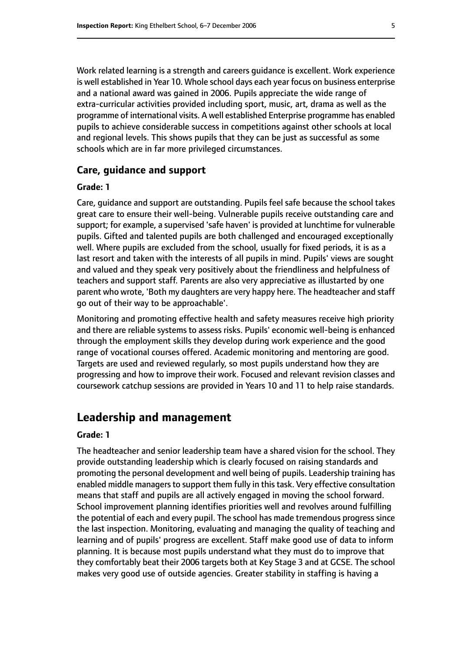Work related learning is a strength and careers guidance is excellent. Work experience is well established in Year 10. Whole school days each year focus on business enterprise and a national award was gained in 2006. Pupils appreciate the wide range of extra-curricular activities provided including sport, music, art, drama as well as the programme of international visits. A well established Enterprise programme has enabled pupils to achieve considerable success in competitions against other schools at local and regional levels. This shows pupils that they can be just as successful as some schools which are in far more privileged circumstances.

#### **Care, guidance and support**

#### **Grade: 1**

Care, guidance and support are outstanding. Pupils feel safe because the school takes great care to ensure their well-being. Vulnerable pupils receive outstanding care and support; for example, a supervised 'safe haven' is provided at lunchtime for vulnerable pupils. Gifted and talented pupils are both challenged and encouraged exceptionally well. Where pupils are excluded from the school, usually for fixed periods, it is as a last resort and taken with the interests of all pupils in mind. Pupils' views are sought and valued and they speak very positively about the friendliness and helpfulness of teachers and support staff. Parents are also very appreciative as illustarted by one parent who wrote, 'Both my daughters are very happy here. The headteacher and staff go out of their way to be approachable'.

Monitoring and promoting effective health and safety measures receive high priority and there are reliable systems to assess risks. Pupils' economic well-being is enhanced through the employment skills they develop during work experience and the good range of vocational courses offered. Academic monitoring and mentoring are good. Targets are used and reviewed regularly, so most pupils understand how they are progressing and how to improve their work. Focused and relevant revision classes and coursework catchup sessions are provided in Years 10 and 11 to help raise standards.

# **Leadership and management**

#### **Grade: 1**

The headteacher and senior leadership team have a shared vision for the school. They provide outstanding leadership which is clearly focused on raising standards and promoting the personal development and well being of pupils. Leadership training has enabled middle managers to support them fully in this task. Very effective consultation means that staff and pupils are all actively engaged in moving the school forward. School improvement planning identifies priorities well and revolves around fulfilling the potential of each and every pupil. The school has made tremendous progress since the last inspection. Monitoring, evaluating and managing the quality of teaching and learning and of pupils' progress are excellent. Staff make good use of data to inform planning. It is because most pupils understand what they must do to improve that they comfortably beat their 2006 targets both at Key Stage 3 and at GCSE. The school makes very good use of outside agencies. Greater stability in staffing is having a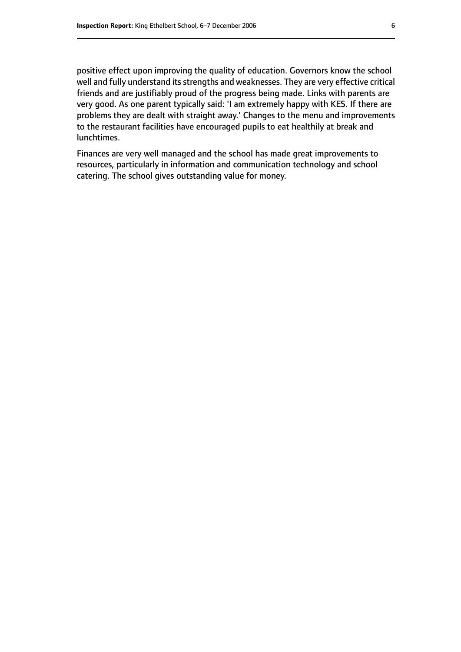positive effect upon improving the quality of education. Governors know the school well and fully understand its strengths and weaknesses. They are very effective critical friends and are justifiably proud of the progress being made. Links with parents are very good. As one parent typically said: 'I am extremely happy with KES. If there are problems they are dealt with straight away.' Changes to the menu and improvements to the restaurant facilities have encouraged pupils to eat healthily at break and lunchtimes.

Finances are very well managed and the school has made great improvements to resources, particularly in information and communication technology and school catering. The school gives outstanding value for money.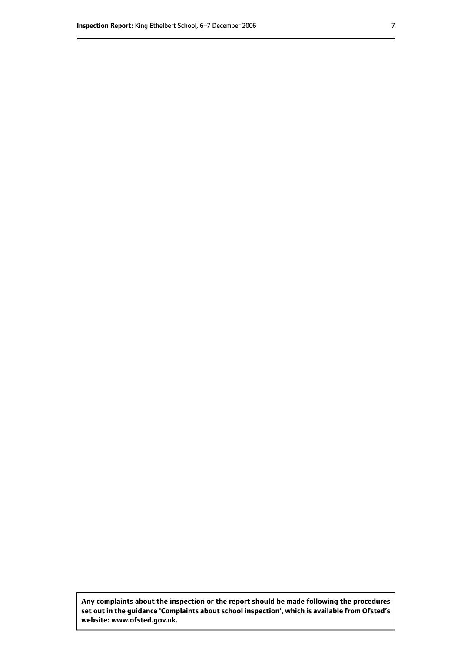**Any complaints about the inspection or the report should be made following the procedures set out inthe guidance 'Complaints about school inspection', whichis available from Ofsted's website: www.ofsted.gov.uk.**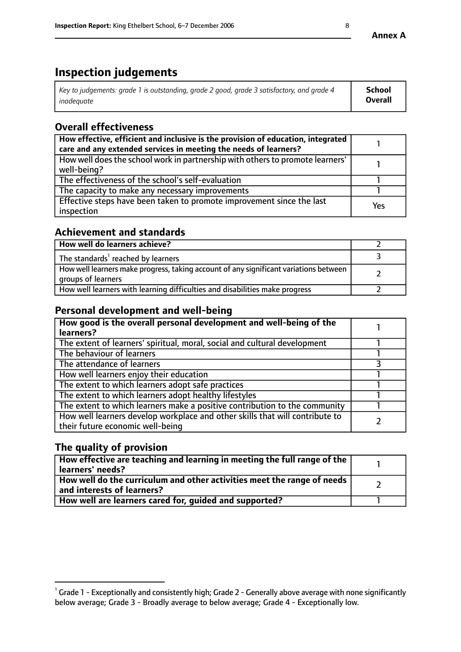# **Inspection judgements**

| Key to judgements: grade 1 is outstanding, grade 2 good, grade 3 satisfactory, and grade 4 | <b>School</b>  |
|--------------------------------------------------------------------------------------------|----------------|
| inadeauate                                                                                 | <b>Overall</b> |

# **Overall effectiveness**

| How effective, efficient and inclusive is the provision of education, integrated<br>care and any extended services in meeting the needs of learners? |            |
|------------------------------------------------------------------------------------------------------------------------------------------------------|------------|
| How well does the school work in partnership with others to promote learners'<br>well-being?                                                         |            |
| The effectiveness of the school's self-evaluation                                                                                                    |            |
| The capacity to make any necessary improvements                                                                                                      |            |
| Effective steps have been taken to promote improvement since the last<br>inspection                                                                  | <b>Yes</b> |

## **Achievement and standards**

| How well do learners achieve?                                                                               |  |
|-------------------------------------------------------------------------------------------------------------|--|
| The standards <sup>1</sup> reached by learners                                                              |  |
| How well learners make progress, taking account of any significant variations between<br>groups of learners |  |
| How well learners with learning difficulties and disabilities make progress                                 |  |

# **Personal development and well-being**

| How good is the overall personal development and well-being of the<br>learners?                                  |  |
|------------------------------------------------------------------------------------------------------------------|--|
| The extent of learners' spiritual, moral, social and cultural development                                        |  |
| The behaviour of learners                                                                                        |  |
| The attendance of learners                                                                                       |  |
| How well learners enjoy their education                                                                          |  |
| The extent to which learners adopt safe practices                                                                |  |
| The extent to which learners adopt healthy lifestyles                                                            |  |
| The extent to which learners make a positive contribution to the community                                       |  |
| How well learners develop workplace and other skills that will contribute to<br>their future economic well-being |  |

# **The quality of provision**

| How effective are teaching and learning in meeting the full range of the<br>learners' needs?                        |  |
|---------------------------------------------------------------------------------------------------------------------|--|
| $\mid$ How well do the curriculum and other activities meet the range of needs $\mid$<br>and interests of learners? |  |
| How well are learners cared for, quided and supported?                                                              |  |

 $^1$  Grade 1 - Exceptionally and consistently high; Grade 2 - Generally above average with none significantly below average; Grade 3 - Broadly average to below average; Grade 4 - Exceptionally low.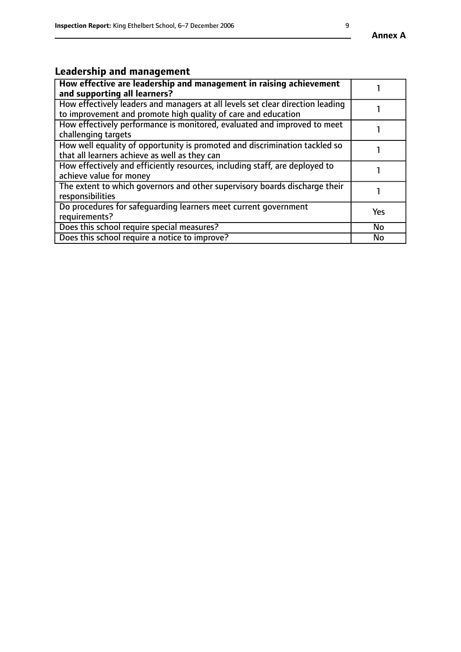# **Leadership and management**

| How effective are leadership and management in raising achievement<br>and supporting all learners?                                              |           |
|-------------------------------------------------------------------------------------------------------------------------------------------------|-----------|
| How effectively leaders and managers at all levels set clear direction leading<br>to improvement and promote high quality of care and education |           |
| How effectively performance is monitored, evaluated and improved to meet<br>challenging targets                                                 |           |
| How well equality of opportunity is promoted and discrimination tackled so<br>that all learners achieve as well as they can                     |           |
| How effectively and efficiently resources, including staff, are deployed to<br>achieve value for money                                          |           |
| The extent to which governors and other supervisory boards discharge their<br>responsibilities                                                  |           |
| Do procedures for safequarding learners meet current government<br>requirements?                                                                | Yes       |
| Does this school require special measures?                                                                                                      | <b>No</b> |
| Does this school require a notice to improve?                                                                                                   | <b>No</b> |